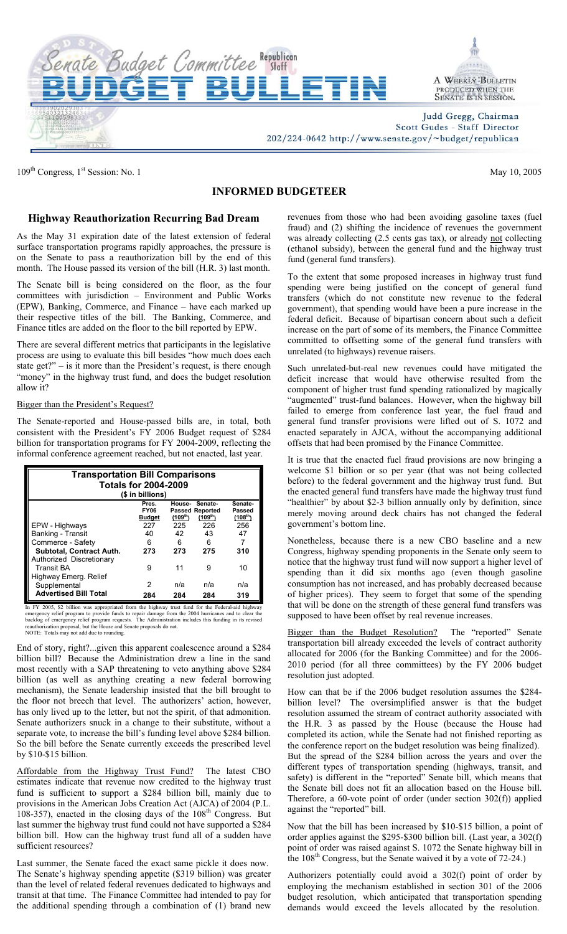

109<sup>th</sup> Congress, 1<sup>st</sup> Session: No. 1 May 10, 2005

## **INFORMED BUDGETEER**

## **Highway Reauthorization Recurring Bad Dream**

As the May 31 expiration date of the latest extension of federal surface transportation programs rapidly approaches, the pressure is on the Senate to pass a reauthorization bill by the end of this month. The House passed its version of the bill (H.R. 3) last month.

The Senate bill is being considered on the floor, as the four committees with jurisdiction – Environment and Public Works (EPW), Banking, Commerce, and Finance – have each marked up their respective titles of the bill. The Banking, Commerce, and Finance titles are added on the floor to the bill reported by EPW.

There are several different metrics that participants in the legislative process are using to evaluate this bill besides "how much does each state get?" – is it more than the President's request, is there enough "money" in the highway trust fund, and does the budget resolution allow it?

## Bigger than the President's Request?

The Senate-reported and House-passed bills are, in total, both consistent with the President's FY 2006 Budget request of \$284 billion for transportation programs for FY 2004-2009, reflecting the informal conference agreement reached, but not enacted, last year.

| <b>Transportation Bill Comparisons</b>               |                      |                     |                                   |                             |
|------------------------------------------------------|----------------------|---------------------|-----------------------------------|-----------------------------|
| <b>Totals for 2004-2009</b>                          |                      |                     |                                   |                             |
| (\$ in billions)                                     |                      |                     |                                   |                             |
|                                                      | Pres.<br><b>FY06</b> | House-              | Senate-<br><b>Passed Reported</b> | Senate-<br>Passed           |
|                                                      | <b>Budget</b><br>227 | $(109^{th})$<br>225 | (109 <sup>th</sup> )<br>226       | (108 <sup>th</sup> )<br>256 |
| EPW - Highways<br>Banking - Transit                  | 40                   | 42                  | 43                                | 47                          |
| Commerce - Safety                                    | 6                    | 6                   | 6                                 | 7                           |
| Subtotal, Contract Auth.<br>Authorized Discretionary | 273                  | 273                 | 275                               | 310                         |
| <b>Transit BA</b><br>Highway Emerg. Relief           | 9                    | 11                  | 9                                 | 10                          |
| Supplemental                                         | 2                    | n/a                 | n/a                               | n/a                         |
| <b>Advertised Bill Total</b>                         | 284                  | 284                 | 284                               | 319                         |

In FY 2005, \$2 billion was appropriated from the highway trust fund for the Federal-aid highway emergency relief program to provide funds to repair damage from the 2004 hurricanes and to clear the backlog of emergency reli

End of story, right?...given this apparent coalescence around a \$284 billion bill? Because the Administration drew a line in the sand most recently with a SAP threatening to veto anything above \$284 billion (as well as anything creating a new federal borrowing mechanism), the Senate leadership insisted that the bill brought to the floor not breech that level. The authorizers' action, however, has only lived up to the letter, but not the spirit, of that admonition. Senate authorizers snuck in a change to their substitute, without a separate vote, to increase the bill's funding level above \$284 billion. So the bill before the Senate currently exceeds the prescribed level by \$10-\$15 billion.

Affordable from the Highway Trust Fund? The latest CBO estimates indicate that revenue now credited to the highway trust fund is sufficient to support a \$284 billion bill, mainly due to provisions in the American Jobs Creation Act (AJCA) of 2004 (P.L. 108-357), enacted in the closing days of the 108<sup>th</sup> Congress. But last summer the highway trust fund could not have supported a \$284 billion bill. How can the highway trust fund all of a sudden have sufficient resources?

Last summer, the Senate faced the exact same pickle it does now. The Senate's highway spending appetite (\$319 billion) was greater than the level of related federal revenues dedicated to highways and transit at that time. The Finance Committee had intended to pay for the additional spending through a combination of (1) brand new

revenues from those who had been avoiding gasoline taxes (fuel fraud) and (2) shifting the incidence of revenues the government was already collecting (2.5 cents gas tax), or already not collecting (ethanol subsidy), between the general fund and the highway trust fund (general fund transfers).

To the extent that some proposed increases in highway trust fund spending were being justified on the concept of general fund transfers (which do not constitute new revenue to the federal government), that spending would have been a pure increase in the federal deficit. Because of bipartisan concern about such a deficit increase on the part of some of its members, the Finance Committee committed to offsetting some of the general fund transfers with unrelated (to highways) revenue raisers.

Such unrelated-but-real new revenues could have mitigated the deficit increase that would have otherwise resulted from the component of higher trust fund spending rationalized by magically "augmented" trust-fund balances. However, when the highway bill failed to emerge from conference last year, the fuel fraud and general fund transfer provisions were lifted out of S. 1072 and enacted separately in AJCA, without the accompanying additional offsets that had been promised by the Finance Committee.

It is true that the enacted fuel fraud provisions are now bringing a welcome \$1 billion or so per year (that was not being collected before) to the federal government and the highway trust fund. But the enacted general fund transfers have made the highway trust fund "healthier" by about \$2-3 billion annually only by definition, since merely moving around deck chairs has not changed the federal government's bottom line.

Nonetheless, because there is a new CBO baseline and a new Congress, highway spending proponents in the Senate only seem to notice that the highway trust fund will now support a higher level of spending than it did six months ago (even though gasoline consumption has not increased, and has probably decreased because of higher prices). They seem to forget that some of the spending that will be done on the strength of these general fund transfers was supposed to have been offset by real revenue increases.

Bigger than the Budget Resolution? The "reported" Senate transportation bill already exceeded the levels of contract authority allocated for 2006 (for the Banking Committee) and for the 2006- 2010 period (for all three committees) by the FY 2006 budget resolution just adopted.

How can that be if the 2006 budget resolution assumes the \$284 billion level? The oversimplified answer is that the budget resolution assumed the stream of contract authority associated with the H.R. 3 as passed by the House (because the House had completed its action, while the Senate had not finished reporting as the conference report on the budget resolution was being finalized). But the spread of the \$284 billion across the years and over the different types of transportation spending (highways, transit, and safety) is different in the "reported" Senate bill, which means that the Senate bill does not fit an allocation based on the House bill. Therefore, a 60-vote point of order (under section 302(f)) applied against the "reported" bill.

Now that the bill has been increased by \$10-\$15 billion, a point of order applies against the \$295-\$300 billion bill. (Last year, a 302(f) point of order was raised against S. 1072 the Senate highway bill in the 108<sup>th</sup> Congress, but the Senate waived it by a vote of 72-24.)

Authorizers potentially could avoid a 302(f) point of order by employing the mechanism established in section 301 of the 2006 budget resolution, which anticipated that transportation spending demands would exceed the levels allocated by the resolution.